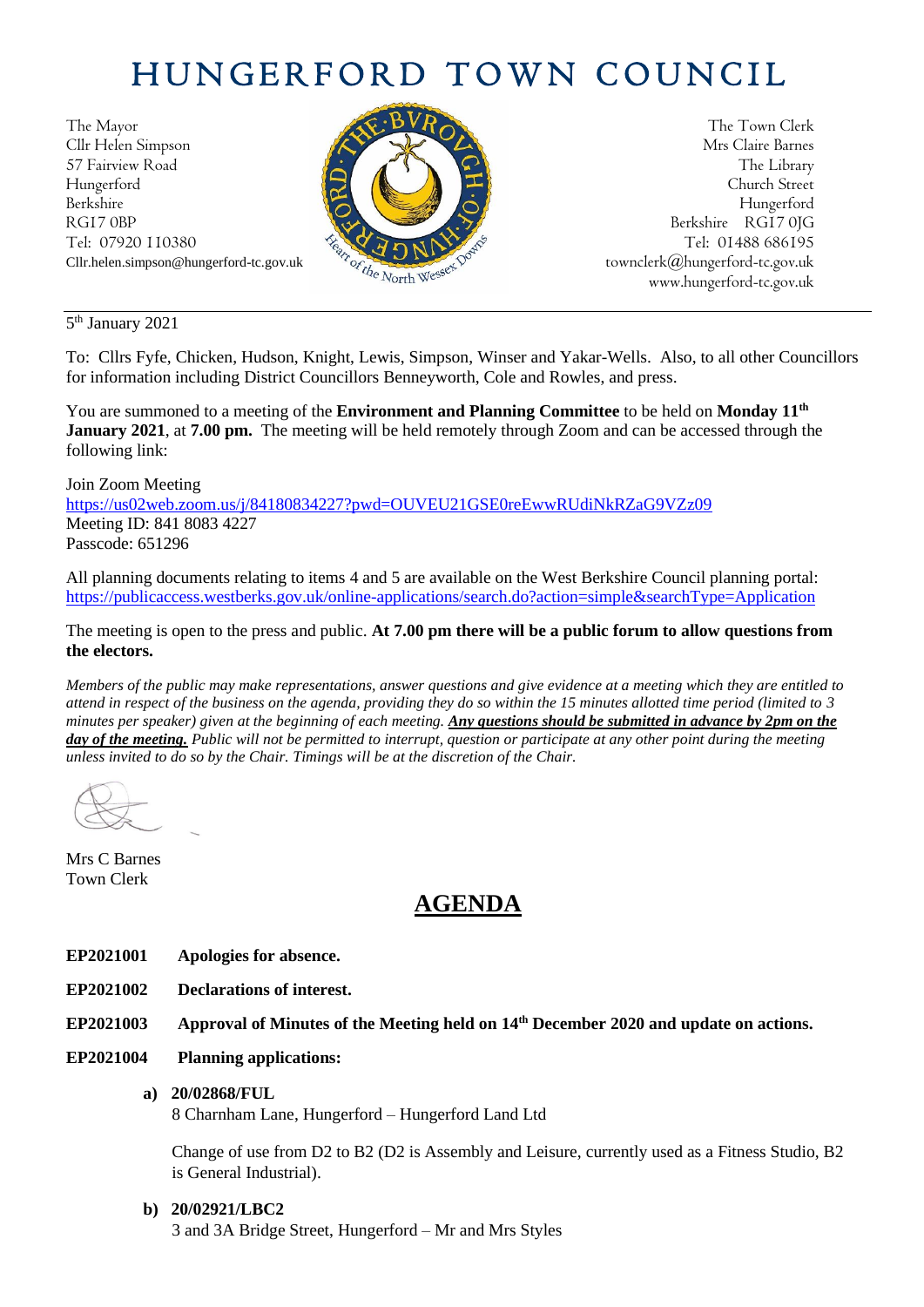# HUNGERFORD TOWN COUNCIL

The Mayor The Town Clerk Cllr Helen Simpson Mrs Claire Barnes 57 Fairview Road The Library Road The Library Hungerford Church Street Berkshire Hungerford RG17 0BP Berkshire RG17 0JG Tel: 07920 110380  $\frac{1}{2} \sqrt{2} \sqrt{2} \sqrt{N^2}$  Tel: 01488 686195



Cllr.helen.simpson@hungerford-tc.gov.uk  $\sigma_{\epsilon_{t}}$  [townclerk@hungerford-tc.gov.uk](about:blank) townclerk@hungerford-tc.gov.uk www.hungerford-tc.gov.uk [www.hungerford-tc.gov.uk](http://www.hungerford-tc.gov.uk/)

5<sup>th</sup> January 2021

To: Cllrs Fyfe, Chicken, Hudson, Knight, Lewis, Simpson, Winser and Yakar-Wells. Also, to all other Councillors for information including District Councillors Benneyworth, Cole and Rowles, and press.

You are summoned to a meeting of the **Environment and Planning Committee** to be held on **Monday 11 th January 2021**, at **7.00 pm.** The meeting will be held remotely through Zoom and can be accessed through the following link:

#### Join Zoom Meeting

<https://us02web.zoom.us/j/84180834227?pwd=OUVEU21GSE0reEwwRUdiNkRZaG9VZz09> Meeting ID: 841 8083 4227 Passcode: 651296

All planning documents relating to items 4 and 5 are available on the West Berkshire Council planning portal: <https://publicaccess.westberks.gov.uk/online-applications/search.do?action=simple&searchType=Application>

The meeting is open to the press and public. **At 7.00 pm there will be a public forum to allow questions from the electors.** 

*Members of the public may make representations, answer questions and give evidence at a meeting which they are entitled to attend in respect of the business on the agenda, providing they do so within the 15 minutes allotted time period (limited to 3 minutes per speaker) given at the beginning of each meeting. Any questions should be submitted in advance by 2pm on the day of the meeting. Public will not be permitted to interrupt, question or participate at any other point during the meeting unless invited to do so by the Chair. Timings will be at the discretion of the Chair.* 

Mrs C Barnes Town Clerk

# **AGENDA**

- **EP2021001 Apologies for absence.**
- **EP2021002 Declarations of interest.**

**EP2021003 Approval of Minutes of the Meeting held on 14th December 2020 and update on actions.**

**EP2021004 Planning applications:**

# **a) 20/02868/FUL**

8 Charnham Lane, Hungerford – Hungerford Land Ltd

Change of use from D2 to B2 (D2 is Assembly and Leisure, currently used as a Fitness Studio, B2 is General Industrial).

# **b) 20/02921/LBC2**

3 and 3A Bridge Street, Hungerford – Mr and Mrs Styles